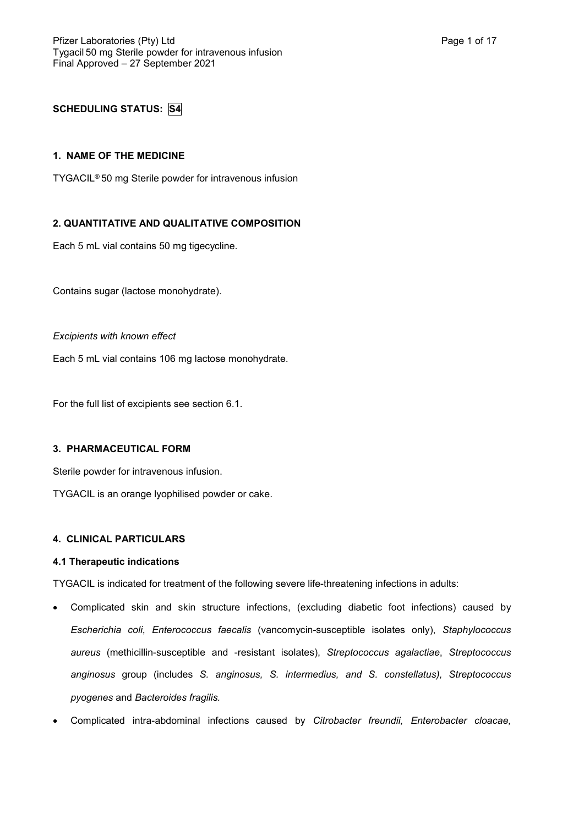# **SCHEDULING STATUS: S4**

## **1. NAME OF THE MEDICINE**

TYGACIL® 50 mg Sterile powder for intravenous infusion

# **2. QUANTITATIVE AND QUALITATIVE COMPOSITION**

Each 5 mL vial contains 50 mg tigecycline.

Contains sugar (lactose monohydrate).

#### *Excipients with known effect*

Each 5 mL vial contains 106 mg lactose monohydrate.

For the full list of excipients see section 6.1.

## **3. PHARMACEUTICAL FORM**

Sterile powder for intravenous infusion.

TYGACIL is an orange lyophilised powder or cake.

## **4. CLINICAL PARTICULARS**

#### **4.1 Therapeutic indications**

TYGACIL is indicated for treatment of the following severe life-threatening infections in adults:

- Complicated skin and skin structure infections, (excluding diabetic foot infections) caused by *Escherichia coli*, *Enterococcus faecalis* (vancomycin-susceptible isolates only), *Staphylococcus aureus* (methicillin-susceptible and -resistant isolates), *Streptococcus agalactiae*, *Streptococcus anginosus* group (includes *S. anginosus, S. intermedius, and S. constellatus), Streptococcus pyogenes* and *Bacteroides fragilis.*
- Complicated intra-abdominal infections caused by *Citrobacter freundii, Enterobacter cloacae,*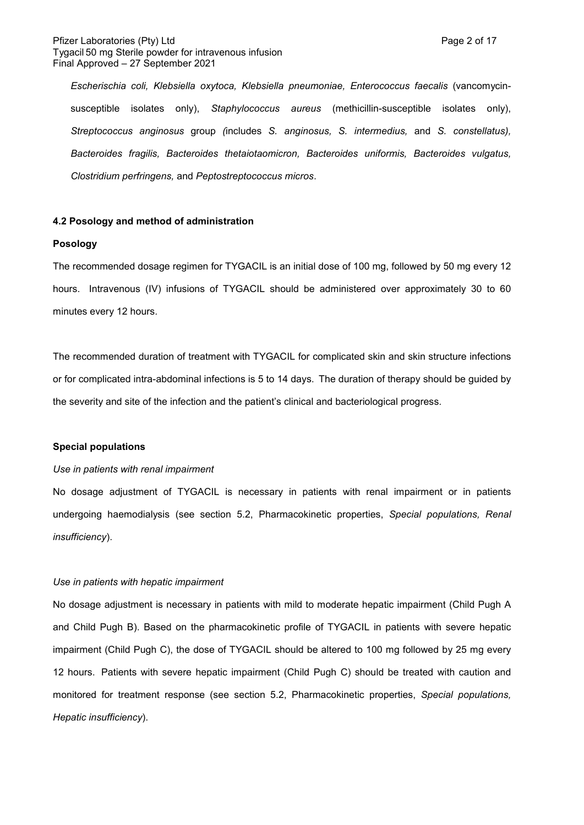#### Pfizer Laboratories (Pty) Ltd **Page 2 of 17** and Page 2 of 17 Tygacil 50 mg Sterile powder for intravenous infusion Final Approved – 27 September 2021

*Escherischia coli, Klebsiella oxytoca, Klebsiella pneumoniae, Enterococcus faecalis* (vancomycinsusceptible isolates only), *Staphylococcus aureus* (methicillin-susceptible isolates only), *Streptococcus anginosus* group *(*includes *S. anginosus, S. intermedius,* and *S. constellatus), Bacteroides fragilis, Bacteroides thetaiotaomicron, Bacteroides uniformis, Bacteroides vulgatus, Clostridium perfringens,* and *Peptostreptococcus micros*.

#### **4.2 Posology and method of administration**

#### **Posology**

The recommended dosage regimen for TYGACIL is an initial dose of 100 mg, followed by 50 mg every 12 hours. Intravenous (IV) infusions of TYGACIL should be administered over approximately 30 to 60 minutes every 12 hours.

The recommended duration of treatment with TYGACIL for complicated skin and skin structure infections or for complicated intra-abdominal infections is 5 to 14 days. The duration of therapy should be guided by the severity and site of the infection and the patient's clinical and bacteriological progress.

## **Special populations**

#### *Use in patients with renal impairment*

No dosage adjustment of TYGACIL is necessary in patients with renal impairment or in patients undergoing haemodialysis (see section 5.2, Pharmacokinetic properties, *Special populations, Renal insufficiency*).

#### *Use in patients with hepatic impairment*

No dosage adjustment is necessary in patients with mild to moderate hepatic impairment (Child Pugh A and Child Pugh B). Based on the pharmacokinetic profile of TYGACIL in patients with severe hepatic impairment (Child Pugh C), the dose of TYGACIL should be altered to 100 mg followed by 25 mg every 12 hours. Patients with severe hepatic impairment (Child Pugh C) should be treated with caution and monitored for treatment response (see section 5.2, Pharmacokinetic properties, *Special populations, Hepatic insufficiency*).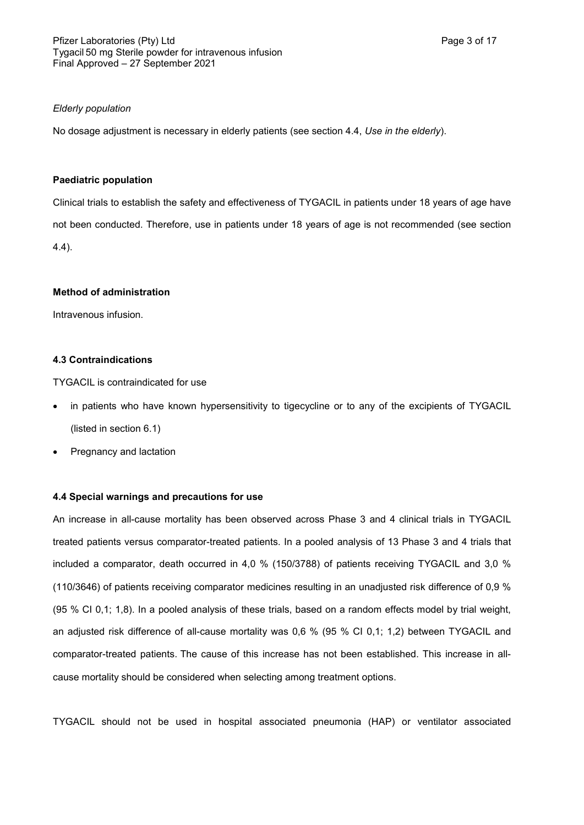## *Elderly population*

No dosage adjustment is necessary in elderly patients (see section 4.4, *Use in the elderly*).

## **Paediatric population**

Clinical trials to establish the safety and effectiveness of TYGACIL in patients under 18 years of age have not been conducted. Therefore, use in patients under 18 years of age is not recommended (see section 4.4).

# **Method of administration**

Intravenous infusion.

## **4.3 Contraindications**

TYGACIL is contraindicated for use

- in patients who have known hypersensitivity to tigecycline or to any of the excipients of TYGACIL (listed in section 6.1)
- Pregnancy and lactation

## **4.4 Special warnings and precautions for use**

An increase in all-cause mortality has been observed across Phase 3 and 4 clinical trials in TYGACIL treated patients versus comparator-treated patients. In a pooled analysis of 13 Phase 3 and 4 trials that included a comparator, death occurred in 4,0 % (150/3788) of patients receiving TYGACIL and 3,0 % (110/3646) of patients receiving comparator medicines resulting in an unadjusted risk difference of 0,9 % (95 % CI 0,1; 1,8). In a pooled analysis of these trials, based on a random effects model by trial weight, an adjusted risk difference of all-cause mortality was 0,6 % (95 % CI 0,1; 1,2) between TYGACIL and comparator-treated patients. The cause of this increase has not been established. This increase in allcause mortality should be considered when selecting among treatment options.

TYGACIL should not be used in hospital associated pneumonia (HAP) or ventilator associated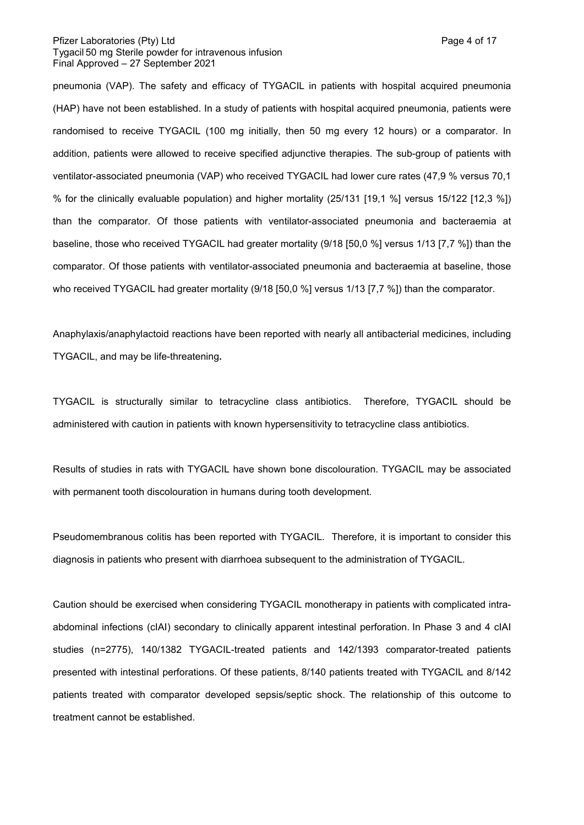#### Pfizer Laboratories (Pty) Ltd **Page 4 of 17** and Page 4 of 17 Tygacil 50 mg Sterile powder for intravenous infusion Final Approved – 27 September 2021

pneumonia (VAP). The safety and efficacy of TYGACIL in patients with hospital acquired pneumonia (HAP) have not been established. In a study of patients with hospital acquired pneumonia, patients were randomised to receive TYGACIL (100 mg initially, then 50 mg every 12 hours) or a comparator. In addition, patients were allowed to receive specified adjunctive therapies. The sub-group of patients with ventilator-associated pneumonia (VAP) who received TYGACIL had lower cure rates (47,9 % versus 70,1 % for the clinically evaluable population) and higher mortality (25/131 [19,1 %] versus 15/122 [12,3 %]) than the comparator. Of those patients with ventilator-associated pneumonia and bacteraemia at baseline, those who received TYGACIL had greater mortality (9/18 [50,0 %] versus 1/13 [7,7 %]) than the comparator. Of those patients with ventilator-associated pneumonia and bacteraemia at baseline, those who received TYGACIL had greater mortality (9/18 [50,0 %] versus 1/13 [7,7 %]) than the comparator.

Anaphylaxis/anaphylactoid reactions have been reported with nearly all antibacterial medicines, including TYGACIL, and may be life-threatening**.** 

TYGACIL is structurally similar to tetracycline class antibiotics. Therefore, TYGACIL should be administered with caution in patients with known hypersensitivity to tetracycline class antibiotics.

Results of studies in rats with TYGACIL have shown bone discolouration. TYGACIL may be associated with permanent tooth discolouration in humans during tooth development.

Pseudomembranous colitis has been reported with TYGACIL. Therefore, it is important to consider this diagnosis in patients who present with diarrhoea subsequent to the administration of TYGACIL.

Caution should be exercised when considering TYGACIL monotherapy in patients with complicated intraabdominal infections (cIAI) secondary to clinically apparent intestinal perforation. In Phase 3 and 4 cIAI studies (n=2775), 140/1382 TYGACIL-treated patients and 142/1393 comparator-treated patients presented with intestinal perforations. Of these patients, 8/140 patients treated with TYGACIL and 8/142 patients treated with comparator developed sepsis/septic shock. The relationship of this outcome to treatment cannot be established.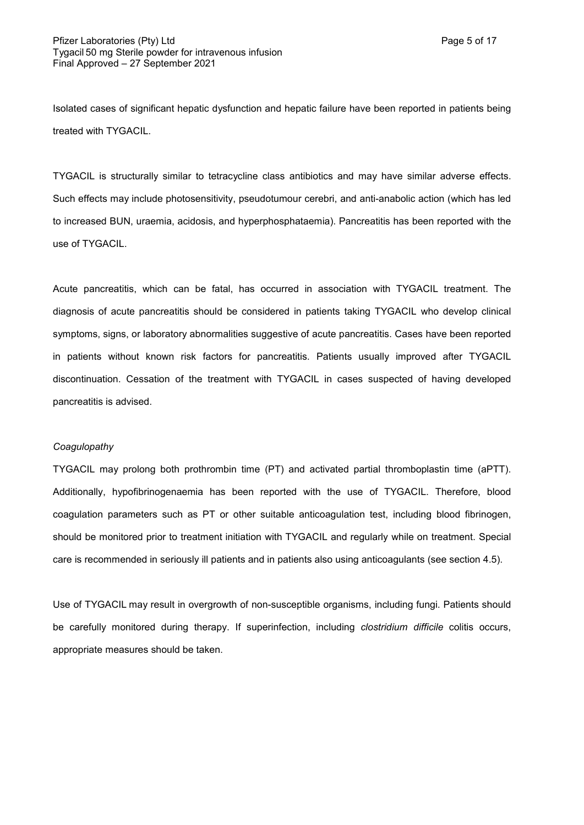Isolated cases of significant hepatic dysfunction and hepatic failure have been reported in patients being treated with TYGACIL.

TYGACIL is structurally similar to tetracycline class antibiotics and may have similar adverse effects. Such effects may include photosensitivity, pseudotumour cerebri, and anti-anabolic action (which has led to increased BUN, uraemia, acidosis, and hyperphosphataemia). Pancreatitis has been reported with the use of TYGACIL.

Acute pancreatitis, which can be fatal, has occurred in association with TYGACIL treatment. The diagnosis of acute pancreatitis should be considered in patients taking TYGACIL who develop clinical symptoms, signs, or laboratory abnormalities suggestive of acute pancreatitis. Cases have been reported in patients without known risk factors for pancreatitis. Patients usually improved after TYGACIL discontinuation. Cessation of the treatment with TYGACIL in cases suspected of having developed pancreatitis is advised.

#### *Coagulopathy*

TYGACIL may prolong both prothrombin time (PT) and activated partial thromboplastin time (aPTT). Additionally, hypofibrinogenaemia has been reported with the use of TYGACIL. Therefore, blood coagulation parameters such as PT or other suitable anticoagulation test, including blood fibrinogen, should be monitored prior to treatment initiation with TYGACIL and regularly while on treatment. Special care is recommended in seriously ill patients and in patients also using anticoagulants (see section 4.5).

Use of TYGACIL may result in overgrowth of non-susceptible organisms, including fungi. Patients should be carefully monitored during therapy. If superinfection, including *clostridium difficile* colitis occurs, appropriate measures should be taken.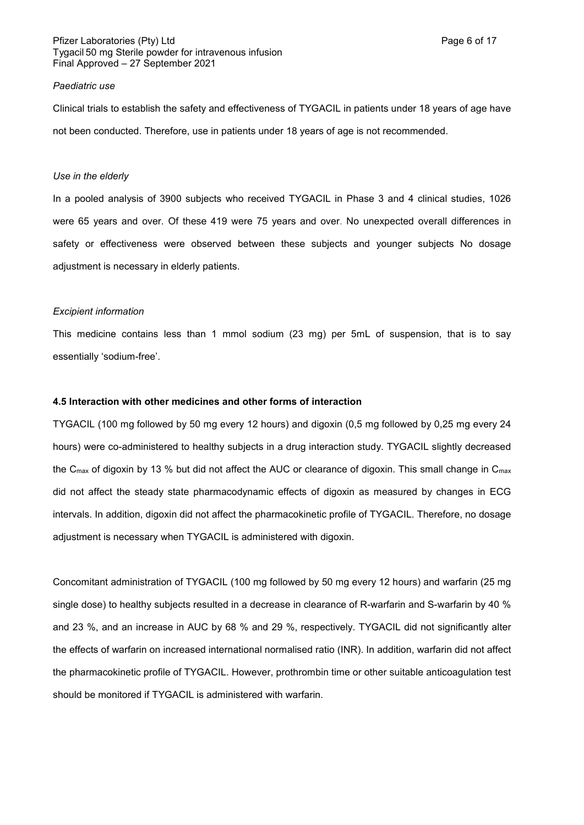#### Pfizer Laboratories (Pty) Ltd **Page 6 of 17** and Page 6 of 17 Tygacil 50 mg Sterile powder for intravenous infusion Final Approved – 27 September 2021

#### *Paediatric use*

Clinical trials to establish the safety and effectiveness of TYGACIL in patients under 18 years of age have not been conducted. Therefore, use in patients under 18 years of age is not recommended.

#### *Use in the elderly*

In a pooled analysis of 3900 subjects who received TYGACIL in Phase 3 and 4 clinical studies, 1026 were 65 years and over. Of these 419 were 75 years and over. No unexpected overall differences in safety or effectiveness were observed between these subjects and younger subjects No dosage adjustment is necessary in elderly patients.

#### *Excipient information*

This medicine contains less than 1 mmol sodium (23 mg) per 5mL of suspension, that is to say essentially 'sodium-free'.

# **4.5 Interaction with other medicines and other forms of interaction**

TYGACIL (100 mg followed by 50 mg every 12 hours) and digoxin (0,5 mg followed by 0,25 mg every 24 hours) were co-administered to healthy subjects in a drug interaction study. TYGACIL slightly decreased the C<sub>max</sub> of digoxin by 13 % but did not affect the AUC or clearance of digoxin. This small change in C<sub>max</sub> did not affect the steady state pharmacodynamic effects of digoxin as measured by changes in ECG intervals. In addition, digoxin did not affect the pharmacokinetic profile of TYGACIL. Therefore, no dosage adjustment is necessary when TYGACIL is administered with digoxin.

Concomitant administration of TYGACIL (100 mg followed by 50 mg every 12 hours) and warfarin (25 mg single dose) to healthy subjects resulted in a decrease in clearance of R-warfarin and S-warfarin by 40 % and 23 %, and an increase in AUC by 68 % and 29 %, respectively. TYGACIL did not significantly alter the effects of warfarin on increased international normalised ratio (INR). In addition, warfarin did not affect the pharmacokinetic profile of TYGACIL. However, prothrombin time or other suitable anticoagulation test should be monitored if TYGACIL is administered with warfarin.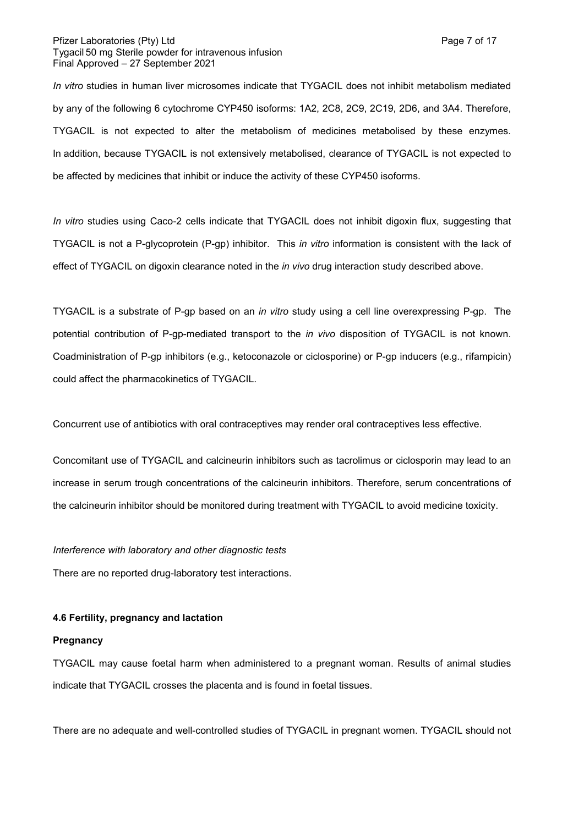#### Pfizer Laboratories (Pty) Ltd **Page 7 of 17** and Page 7 of 17 Tygacil 50 mg Sterile powder for intravenous infusion Final Approved – 27 September 2021

*In vitro* studies in human liver microsomes indicate that TYGACIL does not inhibit metabolism mediated by any of the following 6 cytochrome CYP450 isoforms: 1A2, 2C8, 2C9, 2C19, 2D6, and 3A4. Therefore, TYGACIL is not expected to alter the metabolism of medicines metabolised by these enzymes. In addition, because TYGACIL is not extensively metabolised, clearance of TYGACIL is not expected to be affected by medicines that inhibit or induce the activity of these CYP450 isoforms.

*In vitro* studies using Caco-2 cells indicate that TYGACIL does not inhibit digoxin flux, suggesting that TYGACIL is not a P-glycoprotein (P-gp) inhibitor. This *in vitro* information is consistent with the lack of effect of TYGACIL on digoxin clearance noted in the *in vivo* drug interaction study described above.

TYGACIL is a substrate of P-gp based on an *in vitro* study using a cell line overexpressing P-gp. The potential contribution of P-gp-mediated transport to the *in vivo* disposition of TYGACIL is not known. Coadministration of P-gp inhibitors (e.g., ketoconazole or ciclosporine) or P-gp inducers (e.g., rifampicin) could affect the pharmacokinetics of TYGACIL.

Concurrent use of antibiotics with oral contraceptives may render oral contraceptives less effective.

Concomitant use of TYGACIL and calcineurin inhibitors such as tacrolimus or ciclosporin may lead to an increase in serum trough concentrations of the calcineurin inhibitors. Therefore, serum concentrations of the calcineurin inhibitor should be monitored during treatment with TYGACIL to avoid medicine toxicity.

#### *Interference with laboratory and other diagnostic tests*

There are no reported drug-laboratory test interactions.

#### **4.6 Fertility, pregnancy and lactation**

#### **Pregnancy**

TYGACIL may cause foetal harm when administered to a pregnant woman. Results of animal studies indicate that TYGACIL crosses the placenta and is found in foetal tissues.

There are no adequate and well-controlled studies of TYGACIL in pregnant women. TYGACIL should not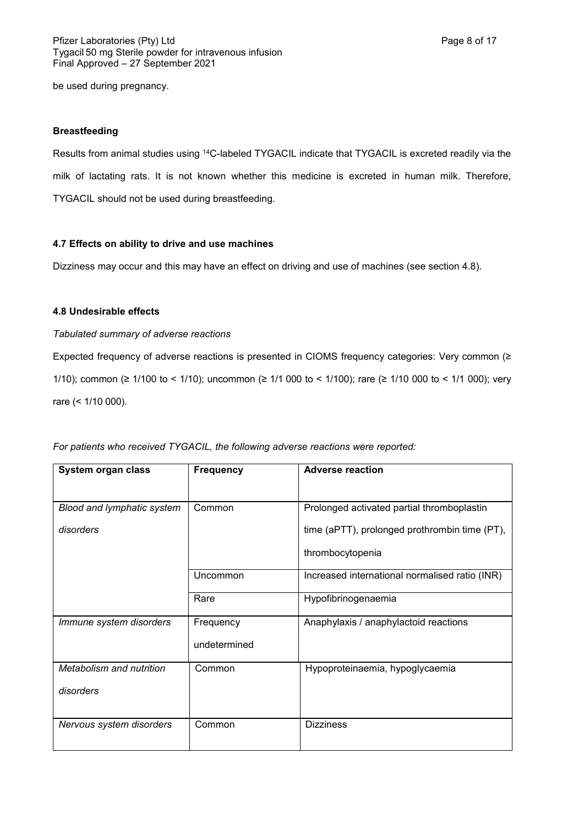be used during pregnancy.

#### **Breastfeeding**

Results from animal studies using <sup>14</sup>C-labeled TYGACIL indicate that TYGACIL is excreted readily via the milk of lactating rats. It is not known whether this medicine is excreted in human milk. Therefore, TYGACIL should not be used during breastfeeding.

#### **4.7 Effects on ability to drive and use machines**

Dizziness may occur and this may have an effect on driving and use of machines (see section 4.8).

# **4.8 Undesirable effects**

#### *Tabulated summary of adverse reactions*

Expected frequency of adverse reactions is presented in CIOMS frequency categories: Very common (≥ 1/10); common (≥ 1/100 to < 1/10); uncommon (≥ 1/1 000 to < 1/100); rare (≥ 1/10 000 to < 1/1 000); very rare (< 1/10 000).

| System organ class         | <b>Frequency</b> | <b>Adverse reaction</b>                        |  |
|----------------------------|------------------|------------------------------------------------|--|
|                            |                  |                                                |  |
|                            |                  |                                                |  |
| Blood and lymphatic system | Common           | Prolonged activated partial thromboplastin     |  |
| disorders                  |                  | time (aPTT), prolonged prothrombin time (PT),  |  |
|                            |                  | thrombocytopenia                               |  |
|                            | Uncommon         | Increased international normalised ratio (INR) |  |
|                            | Rare             | Hypofibrinogenaemia                            |  |
| Immune system disorders    | Frequency        | Anaphylaxis / anaphylactoid reactions          |  |
|                            | undetermined     |                                                |  |
| Metabolism and nutrition   | Common           | Hypoproteinaemia, hypoglycaemia                |  |
| disorders                  |                  |                                                |  |
|                            |                  |                                                |  |
| Nervous system disorders   | Common           | <b>Dizziness</b>                               |  |

*For patients who received TYGACIL, the following adverse reactions were reported:*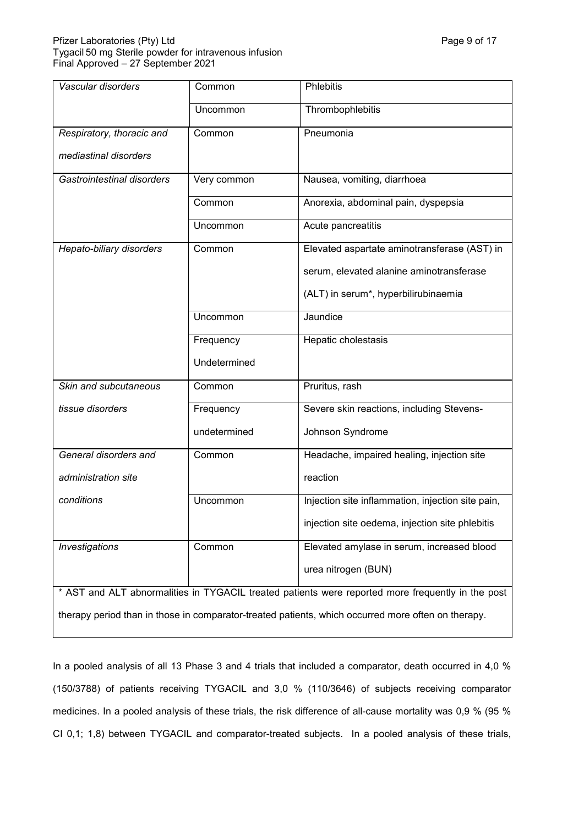| Vascular disorders                                                                                 | Common       | Phlebitis                                         |  |  |
|----------------------------------------------------------------------------------------------------|--------------|---------------------------------------------------|--|--|
|                                                                                                    | Uncommon     | Thrombophlebitis                                  |  |  |
| Respiratory, thoracic and                                                                          | Common       | Pneumonia                                         |  |  |
| mediastinal disorders                                                                              |              |                                                   |  |  |
| Gastrointestinal disorders                                                                         | Very common  | Nausea, vomiting, diarrhoea                       |  |  |
|                                                                                                    | Common       | Anorexia, abdominal pain, dyspepsia               |  |  |
|                                                                                                    | Uncommon     | Acute pancreatitis                                |  |  |
| Hepato-biliary disorders                                                                           | Common       | Elevated aspartate aminotransferase (AST) in      |  |  |
|                                                                                                    |              | serum, elevated alanine aminotransferase          |  |  |
|                                                                                                    |              | (ALT) in serum*, hyperbilirubinaemia              |  |  |
|                                                                                                    | Uncommon     | Jaundice                                          |  |  |
|                                                                                                    | Frequency    | Hepatic cholestasis                               |  |  |
|                                                                                                    | Undetermined |                                                   |  |  |
| Skin and subcutaneous                                                                              | Common       | Pruritus, rash                                    |  |  |
| tissue disorders                                                                                   | Frequency    | Severe skin reactions, including Stevens-         |  |  |
|                                                                                                    | undetermined | Johnson Syndrome                                  |  |  |
| General disorders and                                                                              | Common       | Headache, impaired healing, injection site        |  |  |
| administration site                                                                                |              | reaction                                          |  |  |
| conditions                                                                                         | Uncommon     | Injection site inflammation, injection site pain, |  |  |
|                                                                                                    |              | injection site oedema, injection site phlebitis   |  |  |
| <b>Investigations</b>                                                                              | Common       | Elevated amylase in serum, increased blood        |  |  |
|                                                                                                    |              | urea nitrogen (BUN)                               |  |  |
| * AST and ALT abnormalities in TYGACIL treated patients were reported more frequently in the post  |              |                                                   |  |  |
| therapy period than in those in comparator-treated patients, which occurred more often on therapy. |              |                                                   |  |  |

In a pooled analysis of all 13 Phase 3 and 4 trials that included a comparator, death occurred in 4,0 % (150/3788) of patients receiving TYGACIL and 3,0 % (110/3646) of subjects receiving comparator medicines. In a pooled analysis of these trials, the risk difference of all-cause mortality was 0,9 % (95 % CI 0,1; 1,8) between TYGACIL and comparator-treated subjects. In a pooled analysis of these trials,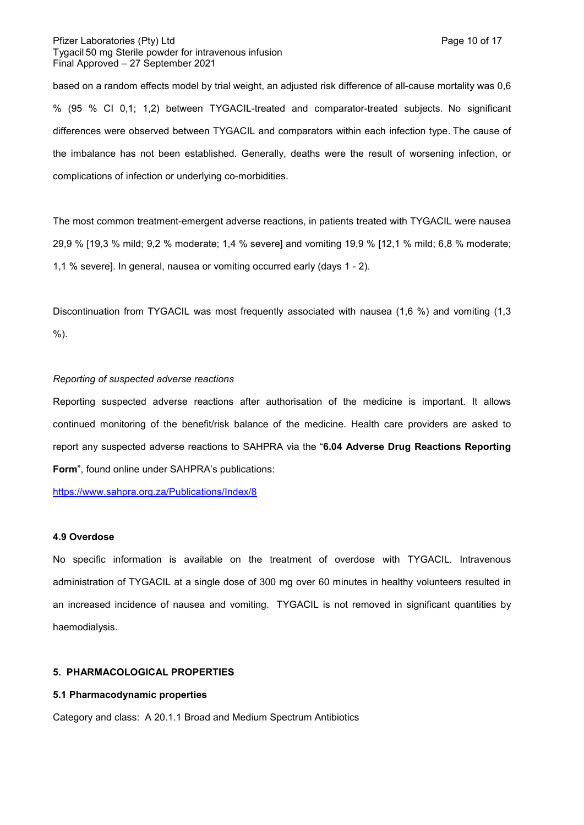#### Pfizer Laboratories (Pty) Ltd **Page 10 of 17** and Page 10 of 17 Tygacil 50 mg Sterile powder for intravenous infusion Final Approved – 27 September 2021

based on a random effects model by trial weight, an adjusted risk difference of all-cause mortality was 0,6 % (95 % CI 0,1; 1,2) between TYGACIL-treated and comparator-treated subjects. No significant differences were observed between TYGACIL and comparators within each infection type. The cause of the imbalance has not been established. Generally, deaths were the result of worsening infection, or complications of infection or underlying co-morbidities.

The most common treatment-emergent adverse reactions, in patients treated with TYGACIL were nausea 29,9 % [19,3 % mild; 9,2 % moderate; 1,4 % severe] and vomiting 19,9 % [12,1 % mild; 6,8 % moderate; 1,1 % severe]. In general, nausea or vomiting occurred early (days 1 - 2).

Discontinuation from TYGACIL was most frequently associated with nausea (1,6 %) and vomiting (1,3 %).

## *Reporting of suspected adverse reactions*

Reporting suspected adverse reactions after authorisation of the medicine is important. It allows continued monitoring of the benefit/risk balance of the medicine. Health care providers are asked to report any suspected adverse reactions to SAHPRA via the "**6.04 Adverse Drug Reactions Reporting Form**", found online under SAHPRA's publications:

<https://www.sahpra.org.za/Publications/Index/8>

#### **4.9 Overdose**

No specific information is available on the treatment of overdose with TYGACIL. Intravenous administration of TYGACIL at a single dose of 300 mg over 60 minutes in healthy volunteers resulted in an increased incidence of nausea and vomiting. TYGACIL is not removed in significant quantities by haemodialysis.

## **5. PHARMACOLOGICAL PROPERTIES**

# **5.1 Pharmacodynamic properties**

Category and class: A 20.1.1 Broad and Medium Spectrum Antibiotics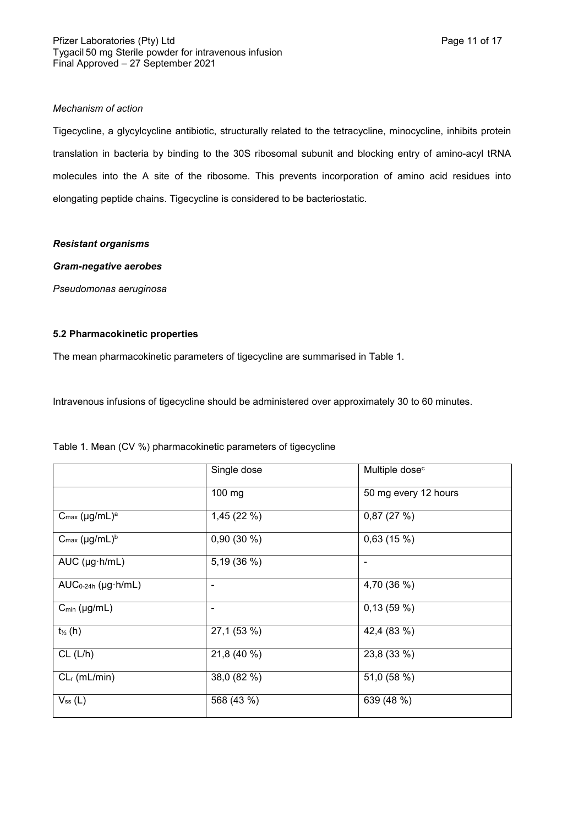## *Mechanism of action*

Tigecycline, a glycylcycline antibiotic, structurally related to the tetracycline, minocycline, inhibits protein translation in bacteria by binding to the 30S ribosomal subunit and blocking entry of amino-acyl tRNA molecules into the A site of the ribosome. This prevents incorporation of amino acid residues into elongating peptide chains. Tigecycline is considered to be bacteriostatic.

## *Resistant organisms*

# *Gram-negative aerobes*

*Pseudomonas aeruginosa*

# **5.2 Pharmacokinetic properties**

The mean pharmacokinetic parameters of tigecycline are summarised in Table 1.

Intravenous infusions of tigecycline should be administered over approximately 30 to 60 minutes.

|                                       | Single dose | Multiple dose <sup>c</sup> |
|---------------------------------------|-------------|----------------------------|
|                                       | 100 mg      | 50 mg every 12 hours       |
| $C_{\text{max}}$ (µg/mL) <sup>a</sup> | 1,45 (22 %) | 0,87(27%)                  |
| $C_{\text{max}}$ (µg/mL) <sup>b</sup> | 0,90(30%)   | 0,63(15%)                  |
| $AUC$ (µg $\cdot$ h/mL)               | 5,19 (36 %) | $\tilde{\phantom{a}}$      |
| $AUC_{0-24h}$ (µg $h/mL$ )            |             | 4,70 (36 %)                |
| $C_{min}$ (µg/mL)                     |             | 0,13(59%)                  |
| $t_{\frac{1}{2}}(h)$                  | 27,1 (53 %) | 42,4 (83 %)                |
| CL (L/h)                              | 21,8 (40 %) | 23,8 (33 %)                |
| $CLr$ (mL/min)                        | 38,0 (82 %) | 51,0 (58 %)                |
| $V_{ss} (L)$                          | 568 (43 %)  | 639 (48 %)                 |

Table 1. Mean (CV %) pharmacokinetic parameters of tigecycline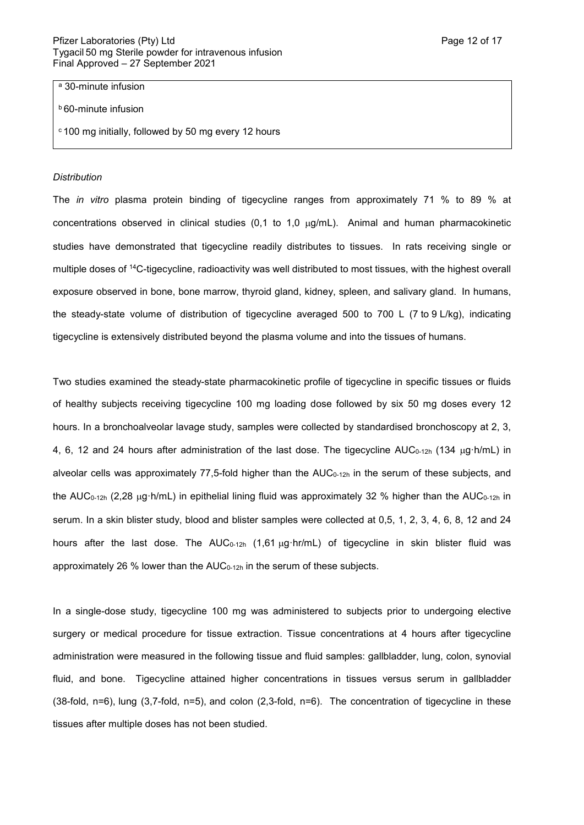<sup>a</sup> 30-minute infusion

<sup>b</sup> 60-minute infusion

<sup>c</sup> 100 mg initially, followed by 50 mg every 12 hours

#### *Distribution*

The *in vitro* plasma protein binding of tigecycline ranges from approximately 71 % to 89 % at concentrations observed in clinical studies (0,1 to 1,0  $\mu$ g/mL). Animal and human pharmacokinetic studies have demonstrated that tigecycline readily distributes to tissues. In rats receiving single or multiple doses of <sup>14</sup>C-tigecycline, radioactivity was well distributed to most tissues, with the highest overall exposure observed in bone, bone marrow, thyroid gland, kidney, spleen, and salivary gland. In humans, the steady-state volume of distribution of tigecycline averaged 500 to 700 L (7 to 9 L/kg), indicating tigecycline is extensively distributed beyond the plasma volume and into the tissues of humans.

Two studies examined the steady-state pharmacokinetic profile of tigecycline in specific tissues or fluids of healthy subjects receiving tigecycline 100 mg loading dose followed by six 50 mg doses every 12 hours. In a bronchoalveolar lavage study, samples were collected by standardised bronchoscopy at 2, 3, 4, 6, 12 and 24 hours after administration of the last dose. The tigecycline AUC<sub>0-12h</sub> (134 µg·h/mL) in alveolar cells was approximately 77,5-fold higher than the  $AUC_{0-12h}$  in the serum of these subjects, and the AUC<sub>0-12h</sub> (2,28  $\mu$ g·h/mL) in epithelial lining fluid was approximately 32 % higher than the AUC<sub>0-12h</sub> in serum. In a skin blister study, blood and blister samples were collected at 0,5, 1, 2, 3, 4, 6, 8, 12 and 24 hours after the last dose. The AUC<sub>0-12h</sub> (1,61  $\mu$ q·hr/mL) of tigecycline in skin blister fluid was approximately 26 % lower than the  $AUC_{0-12h}$  in the serum of these subjects.

In a single-dose study, tigecycline 100 mg was administered to subjects prior to undergoing elective surgery or medical procedure for tissue extraction. Tissue concentrations at 4 hours after tigecycline administration were measured in the following tissue and fluid samples: gallbladder, lung, colon, synovial fluid, and bone. Tigecycline attained higher concentrations in tissues versus serum in gallbladder (38-fold, n=6), lung (3,7-fold, n=5), and colon (2,3-fold, n=6). The concentration of tigecycline in these tissues after multiple doses has not been studied.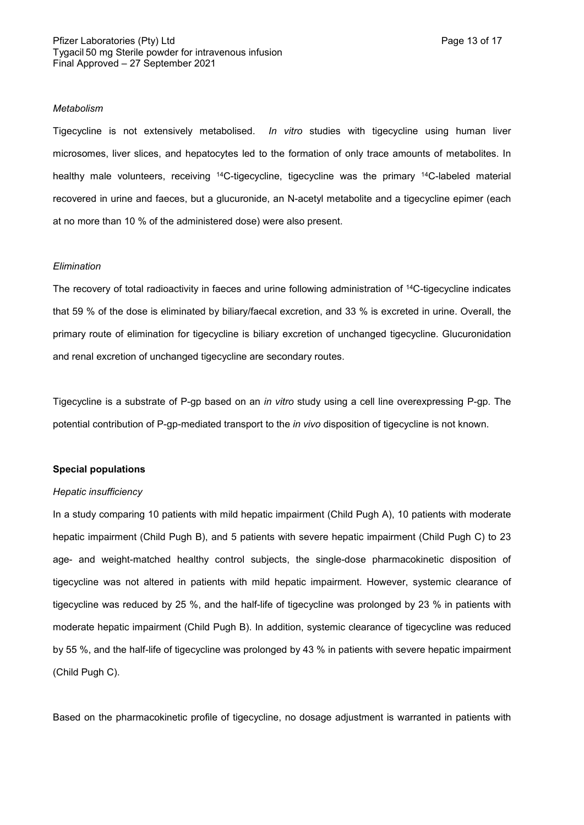Tigecycline is not extensively metabolised. *In vitro* studies with tigecycline using human liver microsomes, liver slices, and hepatocytes led to the formation of only trace amounts of metabolites. In healthy male volunteers, receiving <sup>14</sup>C-tigecycline, tigecycline was the primary <sup>14</sup>C-labeled material recovered in urine and faeces, but a glucuronide, an N-acetyl metabolite and a tigecycline epimer (each at no more than 10 % of the administered dose) were also present.

#### *Elimination*

The recovery of total radioactivity in faeces and urine following administration of <sup>14</sup>C-tigecycline indicates that 59 % of the dose is eliminated by biliary/faecal excretion, and 33 % is excreted in urine. Overall, the primary route of elimination for tigecycline is biliary excretion of unchanged tigecycline. Glucuronidation and renal excretion of unchanged tigecycline are secondary routes.

Tigecycline is a substrate of P-gp based on an *in vitro* study using a cell line overexpressing P-gp. The potential contribution of P-gp-mediated transport to the *in vivo* disposition of tigecycline is not known.

#### **Special populations**

#### *Hepatic insufficiency*

In a study comparing 10 patients with mild hepatic impairment (Child Pugh A), 10 patients with moderate hepatic impairment (Child Pugh B), and 5 patients with severe hepatic impairment (Child Pugh C) to 23 age- and weight-matched healthy control subjects, the single-dose pharmacokinetic disposition of tigecycline was not altered in patients with mild hepatic impairment. However, systemic clearance of tigecycline was reduced by 25 %, and the half-life of tigecycline was prolonged by 23 % in patients with moderate hepatic impairment (Child Pugh B). In addition, systemic clearance of tigecycline was reduced by 55 %, and the half-life of tigecycline was prolonged by 43 % in patients with severe hepatic impairment (Child Pugh C).

Based on the pharmacokinetic profile of tigecycline, no dosage adjustment is warranted in patients with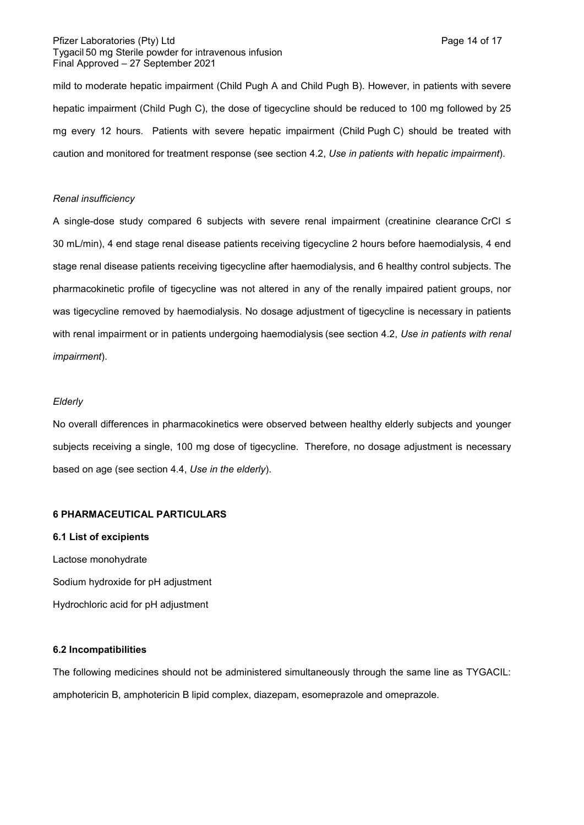## Pfizer Laboratories (Pty) Ltd **Page 14 of 17** and Page 14 of 17 Tygacil 50 mg Sterile powder for intravenous infusion Final Approved – 27 September 2021

mild to moderate hepatic impairment (Child Pugh A and Child Pugh B). However, in patients with severe hepatic impairment (Child Pugh C), the dose of tigecycline should be reduced to 100 mg followed by 25 mg every 12 hours. Patients with severe hepatic impairment (Child Pugh C) should be treated with caution and monitored for treatment response (see section 4.2, *Use in patients with hepatic impairment*).

## *Renal insufficiency*

A single-dose study compared 6 subjects with severe renal impairment (creatinine clearance CrCl ≤ 30 mL/min), 4 end stage renal disease patients receiving tigecycline 2 hours before haemodialysis, 4 end stage renal disease patients receiving tigecycline after haemodialysis, and 6 healthy control subjects. The pharmacokinetic profile of tigecycline was not altered in any of the renally impaired patient groups, nor was tigecycline removed by haemodialysis. No dosage adjustment of tigecycline is necessary in patients with renal impairment or in patients undergoing haemodialysis (see section 4.2, *Use in patients with renal impairment*).

## *Elderly*

No overall differences in pharmacokinetics were observed between healthy elderly subjects and younger subjects receiving a single, 100 mg dose of tigecycline. Therefore, no dosage adjustment is necessary based on age (see section 4.4, *Use in the elderly*).

#### **6 PHARMACEUTICAL PARTICULARS**

**6.1 List of excipients** Lactose monohydrate Sodium hydroxide for pH adjustment Hydrochloric acid for pH adjustment

## **6.2 Incompatibilities**

The following medicines should not be administered simultaneously through the same line as TYGACIL: amphotericin B, amphotericin B lipid complex, diazepam, esomeprazole and omeprazole.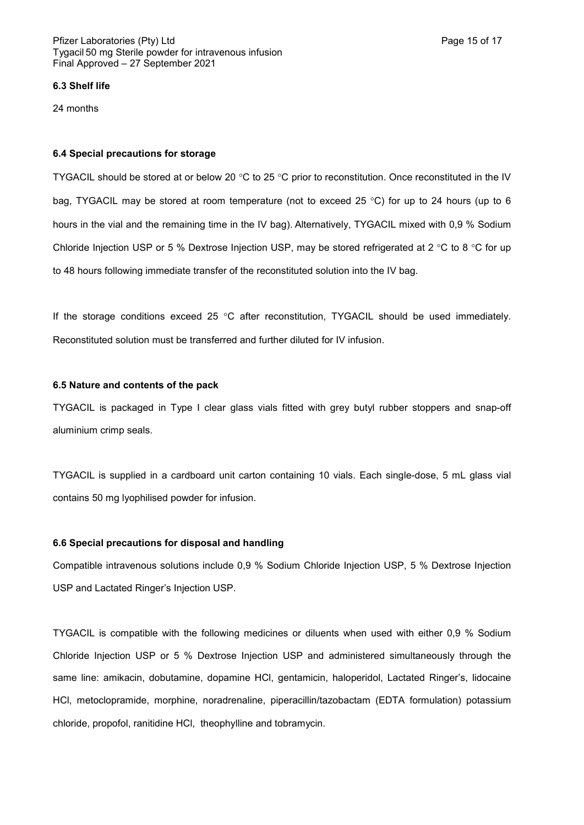#### **6.3 Shelf life**

24 months

#### **6.4 Special precautions for storage**

TYGACIL should be stored at or below 20  $\degree$ C to 25  $\degree$ C prior to reconstitution. Once reconstituted in the IV bag. TYGACIL may be stored at room temperature (not to exceed 25  $\degree$ C) for up to 24 hours (up to 6 hours in the vial and the remaining time in the IV bag). Alternatively, TYGACIL mixed with 0,9 % Sodium Chloride Injection USP or 5 % Dextrose Injection USP, may be stored refrigerated at 2 °C to 8 °C for up to 48 hours following immediate transfer of the reconstituted solution into the IV bag.

If the storage conditions exceed 25  $\degree$ C after reconstitution, TYGACIL should be used immediately. Reconstituted solution must be transferred and further diluted for IV infusion.

#### **6.5 Nature and contents of the pack**

TYGACIL is packaged in Type I clear glass vials fitted with grey butyl rubber stoppers and snap-off aluminium crimp seals.

TYGACIL is supplied in a cardboard unit carton containing 10 vials. Each single-dose, 5 mL glass vial contains 50 mg lyophilised powder for infusion.

## **6.6 Special precautions for disposal and handling**

Compatible intravenous solutions include 0,9 % Sodium Chloride Injection USP, 5 % Dextrose Injection USP and Lactated Ringer's Injection USP.

TYGACIL is compatible with the following medicines or diluents when used with either 0,9 % Sodium Chloride Injection USP or 5 % Dextrose Injection USP and administered simultaneously through the same line: amikacin, dobutamine, dopamine HCl, gentamicin, haloperidol, Lactated Ringer's, lidocaine HCl, metoclopramide, morphine, noradrenaline, piperacillin/tazobactam (EDTA formulation) potassium chloride, propofol, ranitidine HCl, theophylline and tobramycin.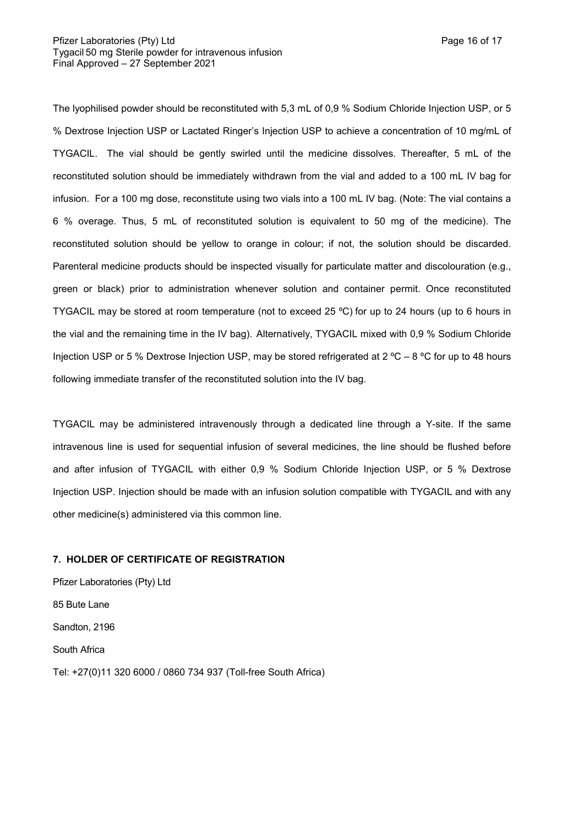The lyophilised powder should be reconstituted with 5,3 mL of 0,9 % Sodium Chloride Injection USP, or 5 % Dextrose Injection USP or Lactated Ringer's Injection USP to achieve a concentration of 10 mg/mL of TYGACIL. The vial should be gently swirled until the medicine dissolves. Thereafter, 5 mL of the reconstituted solution should be immediately withdrawn from the vial and added to a 100 mL IV bag for infusion. For a 100 mg dose, reconstitute using two vials into a 100 mL IV bag. (Note: The vial contains a 6 % overage. Thus, 5 mL of reconstituted solution is equivalent to 50 mg of the medicine). The reconstituted solution should be yellow to orange in colour; if not, the solution should be discarded. Parenteral medicine products should be inspected visually for particulate matter and discolouration (e.g., green or black) prior to administration whenever solution and container permit. Once reconstituted TYGACIL may be stored at room temperature (not to exceed 25 ºC) for up to 24 hours (up to 6 hours in the vial and the remaining time in the IV bag). Alternatively, TYGACIL mixed with 0,9 % Sodium Chloride Injection USP or 5 % Dextrose Injection USP, may be stored refrigerated at 2 °C – 8 °C for up to 48 hours following immediate transfer of the reconstituted solution into the IV bag.

TYGACIL may be administered intravenously through a dedicated line through a Y-site. If the same intravenous line is used for sequential infusion of several medicines, the line should be flushed before and after infusion of TYGACIL with either 0,9 % Sodium Chloride Injection USP, or 5 % Dextrose Injection USP. Injection should be made with an infusion solution compatible with TYGACIL and with any other medicine(s) administered via this common line.

#### **7. HOLDER OF CERTIFICATE OF REGISTRATION**

Pfizer Laboratories (Pty) Ltd 85 Bute Lane Sandton, 2196 South Africa Tel: +27(0)11 320 6000 / 0860 734 937 (Toll-free South Africa)